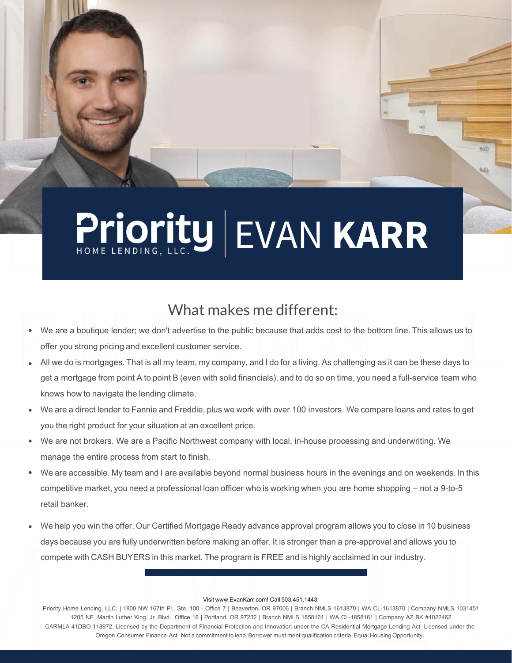# Priority EVAN KARR

### What makes me different:

- We are a boutique lender; we don't advertise to the public because that adds cost to the bottom line. This allows us to offer you strong pricing and excellent customer service. •
- All we do is mortgages. That is all my team, my company, and I do for a living. As challenging as it can be these days to get a mortgage from point A to point B (even with solid financials), and to do so on time, you need a full-service team who knows how to navigate the lending climate. •
- We are a direct lender to Fannie and Freddie, plus we work with over 100 investors. We compare loans and rates to get you the right product for your situation at an excellent price. •
- We are not brokers. We are a Pacific Northwest company with local, in-house processing and underwriting. We manage the entire process from start to finish. •
- We are accessible. My team and I are available beyond normal business hours in the evenings and on weekends. In this competitive market, you need a professional loan officer who is working when you are home shopping – not a 9-to-5 retail banker. •
- We help you win the offer. Our Certified Mortgage Ready advance approval program allows you to close in 10 business days because you are fully underwritten before making an offer. It is stronger than a pre-approval and allows you to compete with CASH BUYERS in this market. The program is FREE and is highly acclaimed in our industry. •

#### Visit www.EvanKarr.com! Call 503.451.1443.

Priority Home Lending, LLC. | 1800 NW 167th Pl., Ste. 100 - Office 7 | Beaverton, OR 97006 | Branch NMLS 1613870 | WA CL-1613870 | Company NMLS 1031451 1205 NE. Martin Luther King, Jr. Blvd., Office 16 | Portland, OR 97232 | Branch NMLS 1858161 | WA CL-1858161 | Company AZ BK #1022462 CARMLA 41DBO-118972. Licensed by the Department of Financial Protection and Innovation under the CA Residential Mortgage Lending Act. Licensed under the Oregon Consumer Finance Act. Not a commitment to lend. Borrower must meet qualification criteria. Equal Housing Opportunity.